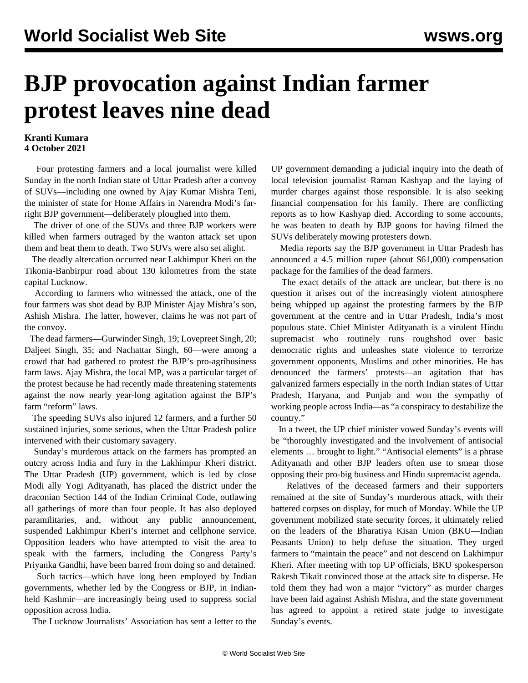## **BJP provocation against Indian farmer protest leaves nine dead**

## **Kranti Kumara 4 October 2021**

 Four protesting farmers and a local journalist were killed Sunday in the north Indian state of Uttar Pradesh after a convoy of SUVs—including one owned by Ajay Kumar Mishra Teni, the minister of state for Home Affairs in Narendra Modi's farright BJP government—deliberately ploughed into them.

 The driver of one of the SUVs and three BJP workers were killed when farmers outraged by the wanton attack set upon them and beat them to death. Two SUVs were also set alight.

 The deadly altercation occurred near Lakhimpur Kheri on the Tikonia-Banbirpur road about 130 kilometres from the state capital Lucknow.

 According to farmers who witnessed the attack, one of the four farmers was shot dead by BJP Minister Ajay Mishra's son, Ashish Mishra. The latter, however, claims he was not part of the convoy.

 The dead farmers—Gurwinder Singh, 19; Lovepreet Singh, 20; Daljeet Singh, 35; and Nachattar Singh, 60—were among a crowd that had gathered to protest the BJP's pro-agribusiness farm laws. Ajay Mishra, the local MP, was a particular target of the protest because he had recently made threatening statements against the now nearly year-long agitation against the BJP's farm "reform" laws.

 The speeding SUVs also injured 12 farmers, and a further 50 sustained injuries, some serious, when the Uttar Pradesh police intervened with their customary savagery.

 Sunday's murderous attack on the farmers has prompted an outcry across India and fury in the Lakhimpur Kheri district. The Uttar Pradesh (UP) government, which is led by close Modi ally Yogi Adityanath, has placed the district under the draconian Section 144 of the Indian Criminal Code, outlawing all gatherings of more than four people. It has also deployed paramilitaries, and, without any public announcement, suspended Lakhimpur Kheri's internet and cellphone service. Opposition leaders who have attempted to visit the area to speak with the farmers, including the Congress Party's Priyanka Gandhi, have been barred from doing so and detained.

 Such tactics—which have long been employed by Indian governments, whether led by the Congress or BJP, in Indianheld Kashmir—are increasingly being used to suppress social opposition across India.

The Lucknow Journalists' Association has sent a letter to the

UP government demanding a judicial inquiry into the death of local television journalist Raman Kashyap and the laying of murder charges against those responsible. It is also seeking financial compensation for his family. There are conflicting reports as to how Kashyap died. According to some accounts, he was beaten to death by BJP goons for having filmed the SUVs deliberately mowing protesters down.

 Media reports say the BJP government in Uttar Pradesh has announced a 4.5 million rupee (about \$61,000) compensation package for the families of the dead farmers.

 The exact details of the attack are unclear, but there is no question it arises out of the increasingly violent atmosphere being whipped up against the protesting farmers by the BJP government at the centre and in Uttar Pradesh, India's most populous state. Chief Minister Adityanath is a virulent Hindu supremacist who routinely runs roughshod over basic democratic rights and unleashes state violence to terrorize government opponents, Muslims and other minorities. He has denounced the farmers' protests—an agitation that has galvanized farmers especially in the north Indian states of Uttar Pradesh, Haryana, and Punjab and won the sympathy of working people across India—as "a conspiracy to destabilize the country."

 In a tweet, the UP chief minister vowed Sunday's events will be "thoroughly investigated and the involvement of antisocial elements … brought to light." "Antisocial elements" is a phrase Adityanath and other BJP leaders often use to smear those opposing their pro-big business and Hindu supremacist agenda.

 Relatives of the deceased farmers and their supporters remained at the site of Sunday's murderous attack, with their battered corpses on display, for much of Monday. While the UP government mobilized state security forces, it ultimately relied on the leaders of the Bharatiya Kisan Union (BKU—Indian Peasants Union) to help defuse the situation. They urged farmers to "maintain the peace" and not descend on Lakhimpur Kheri. After meeting with top UP officials, BKU spokesperson Rakesh Tikait convinced those at the attack site to disperse. He told them they had won a major "victory" as murder charges have been laid against Ashish Mishra, and the state government has agreed to appoint a retired state judge to investigate Sunday's events.